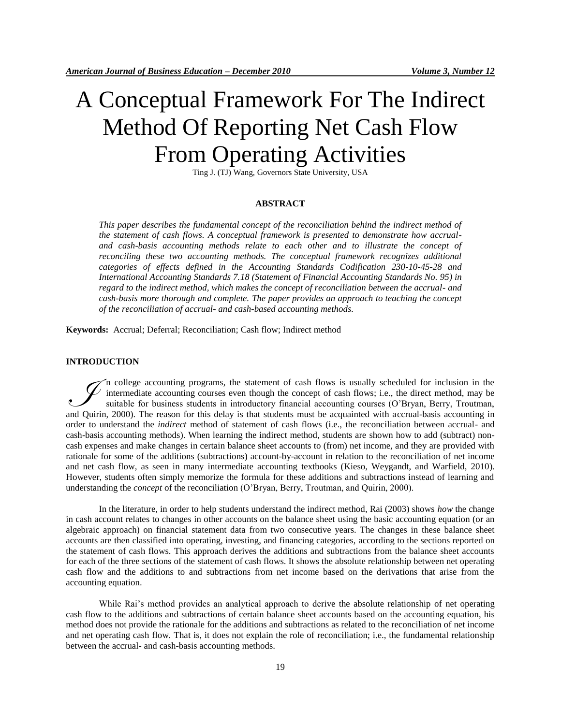# A Conceptual Framework For The Indirect Method Of Reporting Net Cash Flow From Operating Activities

Ting J. (TJ) Wang, Governors State University, USA

### **ABSTRACT**

*This paper describes the fundamental concept of the reconciliation behind the indirect method of the statement of cash flows. A conceptual framework is presented to demonstrate how accrualand cash-basis accounting methods relate to each other and to illustrate the concept of*  reconciling these two accounting methods. The conceptual framework recognizes additional *categories of effects defined in the Accounting Standards Codification 230-10-45-28 and International Accounting Standards 7.18 (Statement of Financial Accounting Standards No. 95) in regard to the indirect method, which makes the concept of reconciliation between the accrual- and cash-basis more thorough and complete. The paper provides an approach to teaching the concept of the reconciliation of accrual- and cash-based accounting methods.*

**Keywords:** Accrual; Deferral; Reconciliation; Cash flow; Indirect method

#### **INTRODUCTION**

n college accounting programs, the statement of cash flows is usually scheduled for inclusion in the intermediate accounting courses even though the concept of cash flows; i.e., the direct method, may be suitable for business students in introductory financial accounting courses (O'Bryan, Berry, Troutman, The college accounting programs, the statement of cash flows is usually scheduled for inclusion in the intermediate accounting courses even though the concept of cash flows; i.e., the direct method, may be suitable for bus order to understand the *indirect* method of statement of cash flows (i.e., the reconciliation between accrual- and cash-basis accounting methods). When learning the indirect method, students are shown how to add (subtract) noncash expenses and make changes in certain balance sheet accounts to (from) net income, and they are provided with rationale for some of the additions (subtractions) account-by-account in relation to the reconciliation of net income and net cash flow, as seen in many intermediate accounting textbooks (Kieso, Weygandt, and Warfield, 2010). However, students often simply memorize the formula for these additions and subtractions instead of learning and understanding the *concept* of the reconciliation (O'Bryan, Berry, Troutman, and Quirin, 2000).

In the literature, in order to help students understand the indirect method, Rai (2003) shows *how* the change in cash account relates to changes in other accounts on the balance sheet using the basic accounting equation (or an algebraic approach) on financial statement data from two consecutive years. The changes in these balance sheet accounts are then classified into operating, investing, and financing categories, according to the sections reported on the statement of cash flows. This approach derives the additions and subtractions from the balance sheet accounts for each of the three sections of the statement of cash flows. It shows the absolute relationship between net operating cash flow and the additions to and subtractions from net income based on the derivations that arise from the accounting equation.

While Rai's method provides an analytical approach to derive the absolute relationship of net operating cash flow to the additions and subtractions of certain balance sheet accounts based on the accounting equation, his method does not provide the rationale for the additions and subtractions as related to the reconciliation of net income and net operating cash flow. That is, it does not explain the role of reconciliation; i.e., the fundamental relationship between the accrual- and cash-basis accounting methods.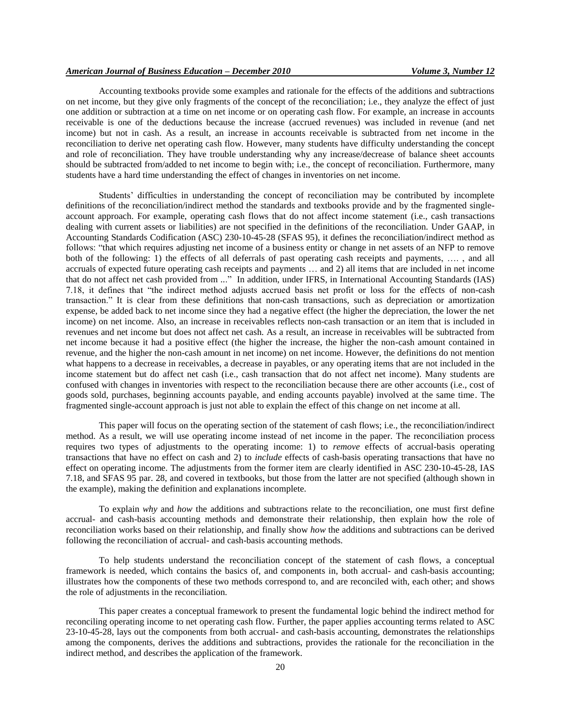## *American Journal of Business Education – December 2010 Volume 3, Number 12*

Accounting textbooks provide some examples and rationale for the effects of the additions and subtractions on net income, but they give only fragments of the concept of the reconciliation; i.e., they analyze the effect of just one addition or subtraction at a time on net income or on operating cash flow. For example, an increase in accounts receivable is one of the deductions because the increase (accrued revenues) was included in revenue (and net income) but not in cash. As a result, an increase in accounts receivable is subtracted from net income in the reconciliation to derive net operating cash flow. However, many students have difficulty understanding the concept and role of reconciliation. They have trouble understanding why any increase/decrease of balance sheet accounts should be subtracted from/added to net income to begin with; i.e., the concept of reconciliation. Furthermore, many students have a hard time understanding the effect of changes in inventories on net income.

Students' difficulties in understanding the concept of reconciliation may be contributed by incomplete definitions of the reconciliation/indirect method the standards and textbooks provide and by the fragmented singleaccount approach. For example, operating cash flows that do not affect income statement (i.e., cash transactions dealing with current assets or liabilities) are not specified in the definitions of the reconciliation. Under GAAP, in Accounting Standards Codification (ASC) 230-10-45-28 (SFAS 95), it defines the reconciliation/indirect method as follows: "that which requires adjusting net income of a business entity or change in net assets of an NFP to remove both of the following: 1) the effects of all deferrals of past operating cash receipts and payments, …. , and all accruals of expected future operating cash receipts and payments … and 2) all items that are included in net income that do not affect net cash provided from ..." In addition, under IFRS, in International Accounting Standards (IAS) 7.18, it defines that "the indirect method adjusts accrued basis net profit or loss for the effects of non-cash transaction.‖ It is clear from these definitions that non-cash transactions, such as depreciation or amortization expense, be added back to net income since they had a negative effect (the higher the depreciation, the lower the net income) on net income. Also, an increase in receivables reflects non-cash transaction or an item that is included in revenues and net income but does not affect net cash. As a result, an increase in receivables will be subtracted from net income because it had a positive effect (the higher the increase, the higher the non-cash amount contained in revenue, and the higher the non-cash amount in net income) on net income. However, the definitions do not mention what happens to a decrease in receivables, a decrease in payables, or any operating items that are not included in the income statement but do affect net cash (i.e., cash transaction that do not affect net income). Many students are confused with changes in inventories with respect to the reconciliation because there are other accounts (i.e., cost of goods sold, purchases, beginning accounts payable, and ending accounts payable) involved at the same time. The fragmented single-account approach is just not able to explain the effect of this change on net income at all.

This paper will focus on the operating section of the statement of cash flows; i.e., the reconciliation/indirect method. As a result, we will use operating income instead of net income in the paper. The reconciliation process requires two types of adjustments to the operating income: 1) to *remove* effects of accrual-basis operating transactions that have no effect on cash and 2) to *include* effects of cash-basis operating transactions that have no effect on operating income. The adjustments from the former item are clearly identified in ASC 230-10-45-28, IAS 7.18, and SFAS 95 par. 28, and covered in textbooks, but those from the latter are not specified (although shown in the example), making the definition and explanations incomplete.

To explain *why* and *how* the additions and subtractions relate to the reconciliation, one must first define accrual- and cash-basis accounting methods and demonstrate their relationship, then explain how the role of reconciliation works based on their relationship, and finally show *how* the additions and subtractions can be derived following the reconciliation of accrual- and cash-basis accounting methods.

To help students understand the reconciliation concept of the statement of cash flows, a conceptual framework is needed, which contains the basics of, and components in, both accrual- and cash-basis accounting; illustrates how the components of these two methods correspond to, and are reconciled with, each other; and shows the role of adjustments in the reconciliation.

This paper creates a conceptual framework to present the fundamental logic behind the indirect method for reconciling operating income to net operating cash flow. Further, the paper applies accounting terms related to ASC 23-10-45-28, lays out the components from both accrual- and cash-basis accounting, demonstrates the relationships among the components, derives the additions and subtractions, provides the rationale for the reconciliation in the indirect method, and describes the application of the framework.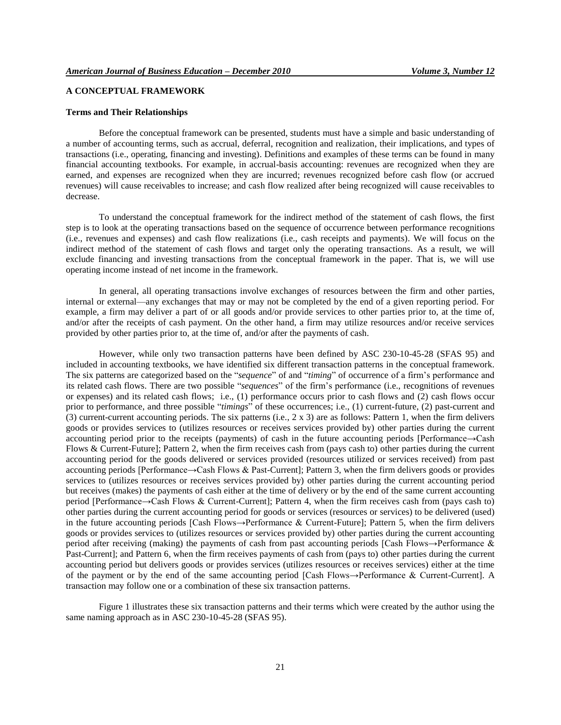## **A CONCEPTUAL FRAMEWORK**

#### **Terms and Their Relationships**

Before the conceptual framework can be presented, students must have a simple and basic understanding of a number of accounting terms, such as accrual, deferral, recognition and realization, their implications, and types of transactions (i.e., operating, financing and investing). Definitions and examples of these terms can be found in many financial accounting textbooks. For example, in accrual-basis accounting: revenues are recognized when they are earned, and expenses are recognized when they are incurred; revenues recognized before cash flow (or accrued revenues) will cause receivables to increase; and cash flow realized after being recognized will cause receivables to decrease.

To understand the conceptual framework for the indirect method of the statement of cash flows, the first step is to look at the operating transactions based on the sequence of occurrence between performance recognitions (i.e., revenues and expenses) and cash flow realizations (i.e., cash receipts and payments). We will focus on the indirect method of the statement of cash flows and target only the operating transactions. As a result, we will exclude financing and investing transactions from the conceptual framework in the paper. That is, we will use operating income instead of net income in the framework.

In general, all operating transactions involve exchanges of resources between the firm and other parties, internal or external—any exchanges that may or may not be completed by the end of a given reporting period. For example, a firm may deliver a part of or all goods and/or provide services to other parties prior to, at the time of, and/or after the receipts of cash payment. On the other hand, a firm may utilize resources and/or receive services provided by other parties prior to, at the time of, and/or after the payments of cash.

However, while only two transaction patterns have been defined by ASC 230-10-45-28 (SFAS 95) and included in accounting textbooks, we have identified six different transaction patterns in the conceptual framework. The six patterns are categorized based on the "*sequence*" of and "*timing*" of occurrence of a firm's performance and its related cash flows. There are two possible "*sequences*" of the firm's performance (i.e., recognitions of revenues or expenses) and its related cash flows; i.e., (1) performance occurs prior to cash flows and (2) cash flows occur prior to performance, and three possible "*timings*" of these occurrences; i.e., (1) current-future, (2) past-current and (3) current-current accounting periods. The six patterns (i.e., 2 x 3) are as follows: Pattern 1, when the firm delivers goods or provides services to (utilizes resources or receives services provided by) other parties during the current accounting period prior to the receipts (payments) of cash in the future accounting periods [Performance→Cash Flows & Current-Future]; Pattern 2, when the firm receives cash from (pays cash to) other parties during the current accounting period for the goods delivered or services provided (resources utilized or services received) from past accounting periods [Performance→Cash Flows & Past-Current]; Pattern 3, when the firm delivers goods or provides services to (utilizes resources or receives services provided by) other parties during the current accounting period but receives (makes) the payments of cash either at the time of delivery or by the end of the same current accounting period [Performance→Cash Flows & Current-Current]; Pattern 4, when the firm receives cash from (pays cash to) other parties during the current accounting period for goods or services (resources or services) to be delivered (used) in the future accounting periods [Cash Flows→Performance & Current-Future]; Pattern 5, when the firm delivers goods or provides services to (utilizes resources or services provided by) other parties during the current accounting period after receiving (making) the payments of cash from past accounting periods [Cash Flows→Performance & Past-Current]; and Pattern 6, when the firm receives payments of cash from (pays to) other parties during the current accounting period but delivers goods or provides services (utilizes resources or receives services) either at the time of the payment or by the end of the same accounting period [Cash Flows→Performance & Current-Current]. A transaction may follow one or a combination of these six transaction patterns.

Figure 1 illustrates these six transaction patterns and their terms which were created by the author using the same naming approach as in ASC 230-10-45-28 (SFAS 95).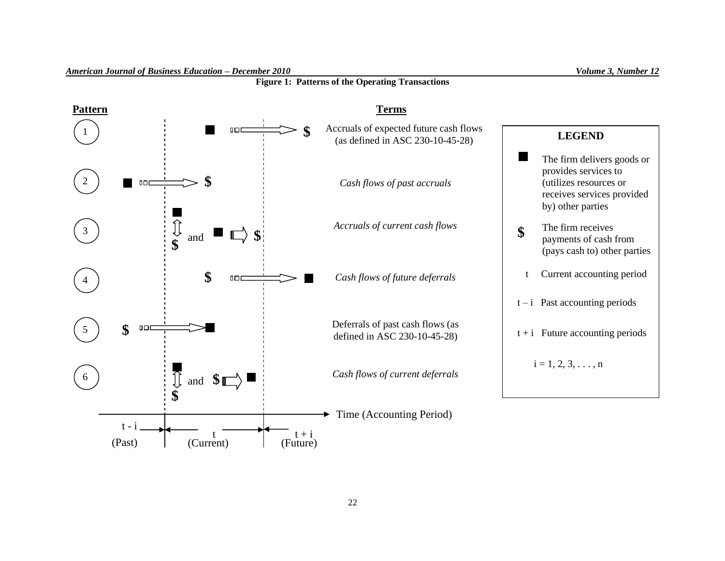

#### *American Journal of Business Education – December 2010 Volume 3, Number 12*

(Past) (Current) (Future)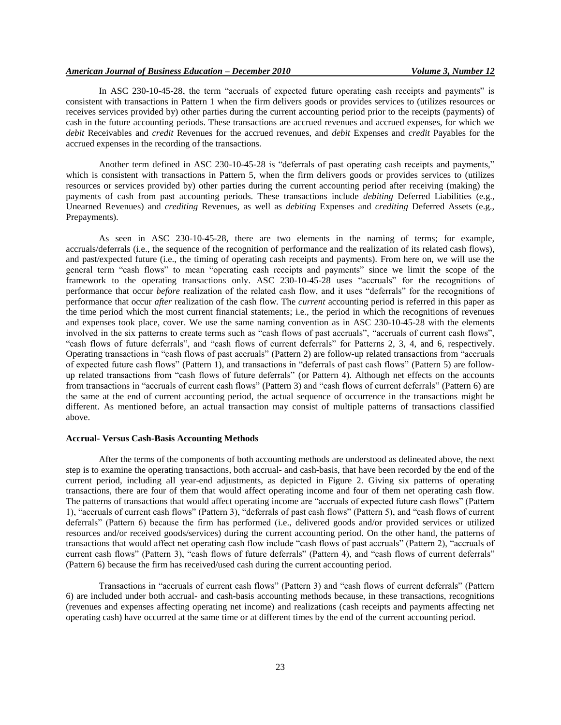In ASC 230-10-45-28, the term "accruals of expected future operating cash receipts and payments" is consistent with transactions in Pattern 1 when the firm delivers goods or provides services to (utilizes resources or receives services provided by) other parties during the current accounting period prior to the receipts (payments) of cash in the future accounting periods. These transactions are accrued revenues and accrued expenses, for which we *debit* Receivables and *credit* Revenues for the accrued revenues, and *debit* Expenses and *credit* Payables for the accrued expenses in the recording of the transactions.

Another term defined in ASC 230-10-45-28 is "deferrals of past operating cash receipts and payments," which is consistent with transactions in Pattern 5, when the firm delivers goods or provides services to (utilizes resources or services provided by) other parties during the current accounting period after receiving (making) the payments of cash from past accounting periods. These transactions include *debiting* Deferred Liabilities (e.g., Unearned Revenues) and *crediting* Revenues, as well as *debiting* Expenses and *crediting* Deferred Assets (e.g., Prepayments).

As seen in ASC 230-10-45-28, there are two elements in the naming of terms; for example, accruals/deferrals (i.e., the sequence of the recognition of performance and the realization of its related cash flows), and past/expected future (i.e., the timing of operating cash receipts and payments). From here on, we will use the general term "cash flows" to mean "operating cash receipts and payments" since we limit the scope of the framework to the operating transactions only. ASC  $230-10-45-28$  uses "accruals" for the recognitions of performance that occur *before* realization of the related cash flow, and it uses "deferrals" for the recognitions of performance that occur *after* realization of the cash flow. The *current* accounting period is referred in this paper as the time period which the most current financial statements; i.e., the period in which the recognitions of revenues and expenses took place, cover. We use the same naming convention as in ASC 230-10-45-28 with the elements involved in the six patterns to create terms such as "cash flows of past accruals", "accruals of current cash flows", "cash flows of future deferrals", and "cash flows of current deferrals" for Patterns 2, 3, 4, and 6, respectively. Operating transactions in "cash flows of past accruals" (Pattern 2) are follow-up related transactions from "accruals" of expected future cash flows" (Pattern 1), and transactions in "deferrals of past cash flows" (Pattern 5) are followup related transactions from "cash flows of future deferrals" (or Pattern 4). Although net effects on the accounts from transactions in "accruals of current cash flows" (Pattern 3) and "cash flows of current deferrals" (Pattern 6) are the same at the end of current accounting period, the actual sequence of occurrence in the transactions might be different. As mentioned before, an actual transaction may consist of multiple patterns of transactions classified above.

## **Accrual- Versus Cash-Basis Accounting Methods**

After the terms of the components of both accounting methods are understood as delineated above, the next step is to examine the operating transactions, both accrual- and cash-basis, that have been recorded by the end of the current period, including all year-end adjustments, as depicted in Figure 2. Giving six patterns of operating transactions, there are four of them that would affect operating income and four of them net operating cash flow. The patterns of transactions that would affect operating income are "accruals of expected future cash flows" (Pattern 1), "accruals of current cash flows" (Pattern 3), "deferrals of past cash flows" (Pattern 5), and "cash flows of current deferrals" (Pattern 6) because the firm has performed (i.e., delivered goods and/or provided services or utilized resources and/or received goods/services) during the current accounting period. On the other hand, the patterns of transactions that would affect net operating cash flow include "cash flows of past accruals" (Pattern 2), "accruals of current cash flows" (Pattern 3), "cash flows of future deferrals" (Pattern 4), and "cash flows of current deferrals" (Pattern 6) because the firm has received/used cash during the current accounting period.

Transactions in "accruals of current cash flows" (Pattern 3) and "cash flows of current deferrals" (Pattern 6) are included under both accrual- and cash-basis accounting methods because, in these transactions, recognitions (revenues and expenses affecting operating net income) and realizations (cash receipts and payments affecting net operating cash) have occurred at the same time or at different times by the end of the current accounting period.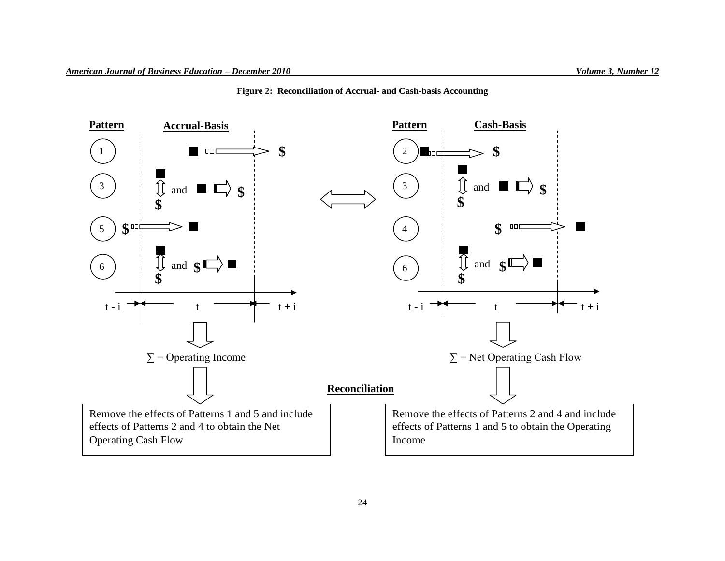

**Figure 2: Reconciliation of Accrual- and Cash-basis Accounting**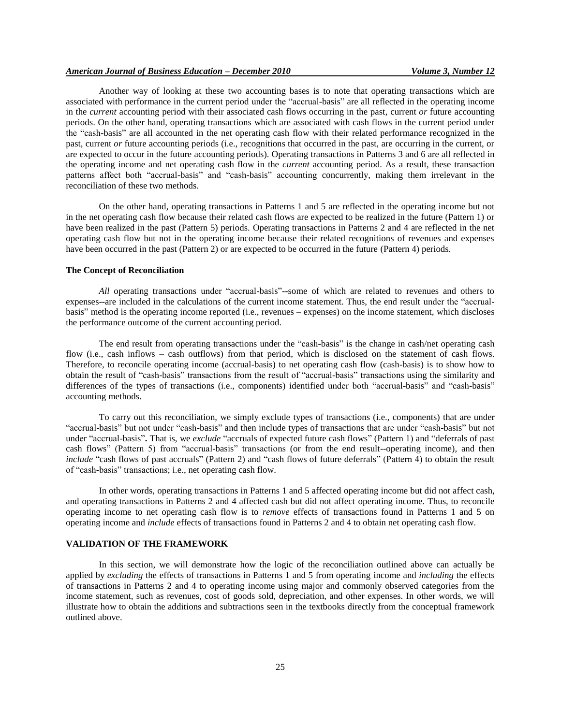Another way of looking at these two accounting bases is to note that operating transactions which are associated with performance in the current period under the "accrual-basis" are all reflected in the operating income in the *current* accounting period with their associated cash flows occurring in the past, current *or* future accounting periods. On the other hand, operating transactions which are associated with cash flows in the current period under the "cash-basis" are all accounted in the net operating cash flow with their related performance recognized in the past, current *or* future accounting periods (i.e., recognitions that occurred in the past, are occurring in the current, or are expected to occur in the future accounting periods). Operating transactions in Patterns 3 and 6 are all reflected in the operating income and net operating cash flow in the *current* accounting period. As a result, these transaction patterns affect both "accrual-basis" and "cash-basis" accounting concurrently, making them irrelevant in the reconciliation of these two methods.

On the other hand, operating transactions in Patterns 1 and 5 are reflected in the operating income but not in the net operating cash flow because their related cash flows are expected to be realized in the future (Pattern 1) or have been realized in the past (Pattern 5) periods. Operating transactions in Patterns 2 and 4 are reflected in the net operating cash flow but not in the operating income because their related recognitions of revenues and expenses have been occurred in the past (Pattern 2) or are expected to be occurred in the future (Pattern 4) periods.

#### **The Concept of Reconciliation**

*All operating transactions under "accrual-basis"*--some of which are related to revenues and others to expenses--are included in the calculations of the current income statement. Thus, the end result under the "accrualbasis‖ method is the operating income reported (i.e., revenues – expenses) on the income statement, which discloses the performance outcome of the current accounting period.

The end result from operating transactions under the "cash-basis" is the change in cash/net operating cash flow (i.e., cash inflows – cash outflows) from that period, which is disclosed on the statement of cash flows. Therefore, to reconcile operating income (accrual-basis) to net operating cash flow (cash-basis) is to show how to obtain the result of "cash-basis" transactions from the result of "accrual-basis" transactions using the similarity and differences of the types of transactions (i.e., components) identified under both "accrual-basis" and "cash-basis" accounting methods.

To carry out this reconciliation, we simply exclude types of transactions (i.e., components) that are under "accrual-basis" but not under "cash-basis" and then include types of transactions that are under "cash-basis" but not under "accrual-basis". That is, we exclude "accruals of expected future cash flows" (Pattern 1) and "deferrals of past cash flows" (Pattern 5) from "accrual-basis" transactions (or from the end result--operating income), and then *include* "cash flows of past accruals" (Pattern 2) and "cash flows of future deferrals" (Pattern 4) to obtain the result of "cash-basis" transactions; i.e., net operating cash flow.

In other words, operating transactions in Patterns 1 and 5 affected operating income but did not affect cash, and operating transactions in Patterns 2 and 4 affected cash but did not affect operating income. Thus, to reconcile operating income to net operating cash flow is to *remove* effects of transactions found in Patterns 1 and 5 on operating income and *include* effects of transactions found in Patterns 2 and 4 to obtain net operating cash flow.

## **VALIDATION OF THE FRAMEWORK**

In this section, we will demonstrate how the logic of the reconciliation outlined above can actually be applied by *excluding* the effects of transactions in Patterns 1 and 5 from operating income and *including* the effects of transactions in Patterns 2 and 4 to operating income using major and commonly observed categories from the income statement, such as revenues, cost of goods sold, depreciation, and other expenses. In other words, we will illustrate how to obtain the additions and subtractions seen in the textbooks directly from the conceptual framework outlined above.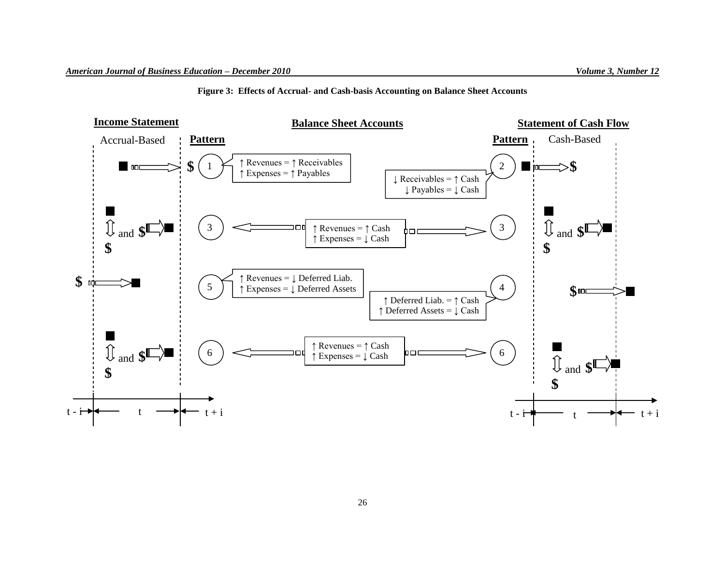## **Figure 3: Effects of Accrual- and Cash-basis Accounting on Balance Sheet Accounts**

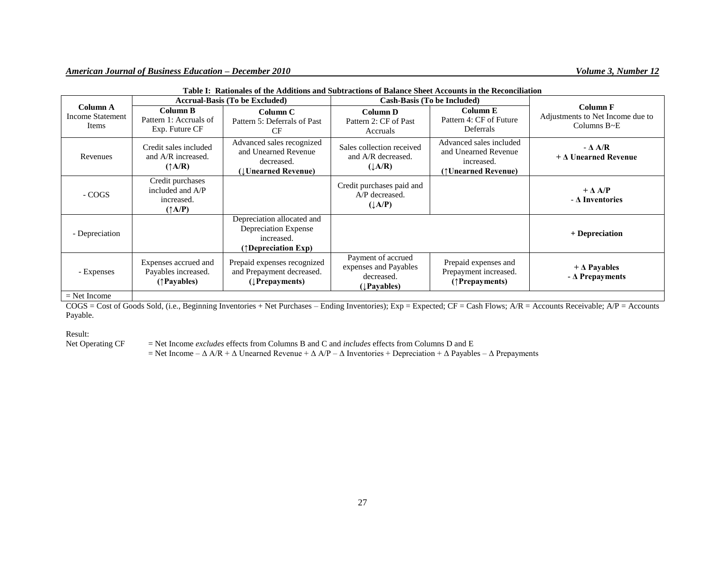|                                                                      | <b>Accrual-Basis (To be Excluded)</b>                                  |                                                                                                    | <b>Cash-Basis (To be Included)</b>                                                |                                                                                      |                                                                           |
|----------------------------------------------------------------------|------------------------------------------------------------------------|----------------------------------------------------------------------------------------------------|-----------------------------------------------------------------------------------|--------------------------------------------------------------------------------------|---------------------------------------------------------------------------|
| Column A<br><b>Income Statement</b><br>Items                         | Column B<br>Pattern 1: Accruals of<br>Exp. Future CF                   | Column C<br>Pattern 5: Deferrals of Past<br><b>CF</b>                                              | Column D<br>Pattern 2: CF of Past<br>Accruals                                     | Column E<br>Pattern 4: CF of Future<br>Deferrals                                     | <b>Column F</b><br>Adjustments to Net Income due to<br>Columns $B \sim E$ |
| Revenues                                                             | Credit sales included<br>and A/R increased.<br>$(\uparrow A/R)$        | Advanced sales recognized<br>and Unearned Revenue<br>decreased.<br>(Unearned Revenue)              | Sales collection received<br>and A/R decreased.<br>$(\downarrow A/R)$             | Advanced sales included<br>and Unearned Revenue<br>increased.<br>(†Unearned Revenue) | $-\Delta A/R$<br>$+\Delta$ Unearned Revenue                               |
| - COGS                                                               | Credit purchases<br>included and A/P<br>increased.<br>$(\uparrow A/P)$ |                                                                                                    | Credit purchases paid and<br>A/P decreased.<br>$(\downarrow A/P)$                 |                                                                                      | $+\Delta A/P$<br>$-\Delta$ Inventories                                    |
| - Depreciation                                                       |                                                                        | Depreciation allocated and<br>Depreciation Expense<br>increased.<br>$(\uparrow)$ Depreciation Exp) |                                                                                   |                                                                                      | + Depreciation                                                            |
| - Expenses                                                           | Expenses accrued and<br>Payables increased.<br>(†Payables)             | Prepaid expenses recognized<br>and Prepayment decreased.<br>$(I$ Prepayments)                      | Payment of accrued<br>expenses and Payables<br>decreased.<br>( <i>Leavables</i> ) | Prepaid expenses and<br>Prepayment increased.<br>(†Prepayments)                      | $+\Delta$ Payables<br>$-\Delta$ Prepayments                               |
| $N_{\text{tot}}$ $\mathbf{L}_{\text{tot}}$ $\mathbf{L}_{\text{tot}}$ |                                                                        |                                                                                                    |                                                                                   |                                                                                      |                                                                           |

| Table I: Rationales of the Additions and Subtractions of Balance Sheet Accounts in the Reconciliation |
|-------------------------------------------------------------------------------------------------------|
|-------------------------------------------------------------------------------------------------------|

#### $=$  Net Income

 $COGS = Cost$  of Goods Sold, (i.e., Beginning Inventories + Net Purchases – Ending Inventories);  $Exp = Expected$ ;  $CF = Cash$  Flows;  $A/R = Accounts$  Receivable;  $AP = Accounts$ Payable.

Result:<br>Net Operating CF

= Net Income *excludes* effects from Columns B and C and *includes* effects from Columns D and E

= Net Income –  $\Delta$  A/R +  $\Delta$  Unearned Revenue +  $\Delta$  A/P –  $\Delta$  Inventories + Depreciation +  $\Delta$  Payables –  $\Delta$  Prepayments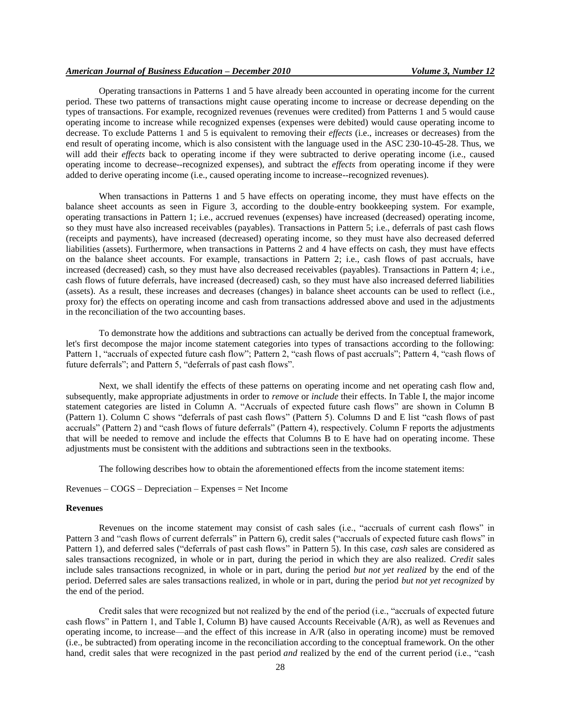## *American Journal of Business Education – December 2010 Volume 3, Number 12*

Operating transactions in Patterns 1 and 5 have already been accounted in operating income for the current period. These two patterns of transactions might cause operating income to increase or decrease depending on the types of transactions. For example, recognized revenues (revenues were credited) from Patterns 1 and 5 would cause operating income to increase while recognized expenses (expenses were debited) would cause operating income to decrease. To exclude Patterns 1 and 5 is equivalent to removing their *effects* (i.e., increases or decreases) from the end result of operating income, which is also consistent with the language used in the ASC 230-10-45-28. Thus, we will add their *effects* back to operating income if they were subtracted to derive operating income (i.e., caused operating income to decrease--recognized expenses), and subtract the *effects* from operating income if they were added to derive operating income (i.e., caused operating income to increase--recognized revenues).

When transactions in Patterns 1 and 5 have effects on operating income, they must have effects on the balance sheet accounts as seen in Figure 3, according to the double-entry bookkeeping system. For example, operating transactions in Pattern 1; i.e., accrued revenues (expenses) have increased (decreased) operating income, so they must have also increased receivables (payables). Transactions in Pattern 5; i.e., deferrals of past cash flows (receipts and payments), have increased (decreased) operating income, so they must have also decreased deferred liabilities (assets). Furthermore, when transactions in Patterns 2 and 4 have effects on cash, they must have effects on the balance sheet accounts. For example, transactions in Pattern 2; i.e., cash flows of past accruals, have increased (decreased) cash, so they must have also decreased receivables (payables). Transactions in Pattern 4; i.e., cash flows of future deferrals, have increased (decreased) cash, so they must have also increased deferred liabilities (assets). As a result, these increases and decreases (changes) in balance sheet accounts can be used to reflect (i.e., proxy for) the effects on operating income and cash from transactions addressed above and used in the adjustments in the reconciliation of the two accounting bases.

To demonstrate how the additions and subtractions can actually be derived from the conceptual framework, let's first decompose the major income statement categories into types of transactions according to the following: Pattern 1, "accruals of expected future cash flow"; Pattern 2, "cash flows of past accruals"; Pattern 4, "cash flows of future deferrals"; and Pattern 5, "deferrals of past cash flows".

Next, we shall identify the effects of these patterns on operating income and net operating cash flow and, subsequently, make appropriate adjustments in order to *remove* or *include* their effects. In Table I, the major income statement categories are listed in Column A. "Accruals of expected future cash flows" are shown in Column B (Pattern 1). Column C shows "deferrals of past cash flows" (Pattern 5). Columns D and E list "cash flows of past accruals" (Pattern 2) and "cash flows of future deferrals" (Pattern 4), respectively. Column F reports the adjustments that will be needed to remove and include the effects that Columns B to E have had on operating income. These adjustments must be consistent with the additions and subtractions seen in the textbooks.

The following describes how to obtain the aforementioned effects from the income statement items:

Revenues – COGS – Depreciation – Expenses = Net Income

#### **Revenues**

Revenues on the income statement may consist of cash sales (i.e., "accruals of current cash flows" in Pattern 3 and "cash flows of current deferrals" in Pattern 6), credit sales ("accruals of expected future cash flows" in Pattern 1), and deferred sales ("deferrals of past cash flows" in Pattern 5). In this case, *cash* sales are considered as sales transactions recognized, in whole or in part, during the period in which they are also realized. *Credit* sales include sales transactions recognized, in whole or in part, during the period *but not yet realized* by the end of the period. Deferred sales are sales transactions realized, in whole or in part, during the period *but not yet recognized* by the end of the period.

Credit sales that were recognized but not realized by the end of the period (i.e., "accruals of expected future cash flows‖ in Pattern 1, and Table I, Column B) have caused Accounts Receivable (A/R), as well as Revenues and operating income, to increase—and the effect of this increase in A/R (also in operating income) must be removed (i.e., be subtracted) from operating income in the reconciliation according to the conceptual framework. On the other hand, credit sales that were recognized in the past period *and* realized by the end of the current period (i.e., "cash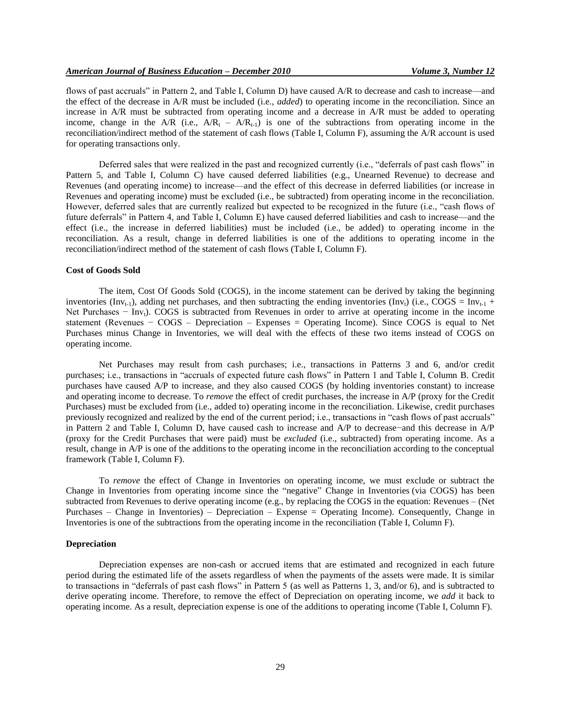flows of past accruals" in Pattern 2, and Table I, Column D) have caused A/R to decrease and cash to increase—and the effect of the decrease in A/R must be included (i.e., *added*) to operating income in the reconciliation. Since an increase in A/R must be subtracted from operating income and a decrease in A/R must be added to operating income, change in the A/R (i.e.,  $A/R_t - A/R_{t-1}$ ) is one of the subtractions from operating income in the reconciliation/indirect method of the statement of cash flows (Table I, Column F), assuming the A/R account is used for operating transactions only.

Deferred sales that were realized in the past and recognized currently (i.e., "deferrals of past cash flows" in Pattern 5, and Table I, Column C) have caused deferred liabilities (e.g., Unearned Revenue) to decrease and Revenues (and operating income) to increase—and the effect of this decrease in deferred liabilities (or increase in Revenues and operating income) must be excluded (i.e., be subtracted) from operating income in the reconciliation. However, deferred sales that are currently realized but expected to be recognized in the future (i.e., "cash flows of future deferrals‖ in Pattern 4, and Table I, Column E) have caused deferred liabilities and cash to increase—and the effect (i.e., the increase in deferred liabilities) must be included (i.e., be added) to operating income in the reconciliation. As a result, change in deferred liabilities is one of the additions to operating income in the reconciliation/indirect method of the statement of cash flows (Table I, Column F).

#### **Cost of Goods Sold**

The item, Cost Of Goods Sold (COGS), in the income statement can be derived by taking the beginning inventories (Inv<sub>t-1</sub>), adding net purchases, and then subtracting the ending inventories (Inv<sub>t</sub>) (i.e., COGS = Inv<sub>t-1</sub> + Net Purchases − Inv<sub>t</sub>). COGS is subtracted from Revenues in order to arrive at operating income in the income statement (Revenues − COGS – Depreciation – Expenses = Operating Income). Since COGS is equal to Net Purchases minus Change in Inventories, we will deal with the effects of these two items instead of COGS on operating income.

Net Purchases may result from cash purchases; i.e., transactions in Patterns 3 and 6, and/or credit purchases; i.e., transactions in "accruals of expected future cash flows" in Pattern 1 and Table I, Column B. Credit purchases have caused A/P to increase, and they also caused COGS (by holding inventories constant) to increase and operating income to decrease. To *remove* the effect of credit purchases, the increase in A/P (proxy for the Credit Purchases) must be excluded from (i.e., added to) operating income in the reconciliation. Likewise, credit purchases previously recognized and realized by the end of the current period; i.e., transactions in "cash flows of past accruals" in Pattern 2 and Table I, Column D, have caused cash to increase and A/P to decrease−and this decrease in A/P (proxy for the Credit Purchases that were paid) must be *excluded* (i.e., subtracted) from operating income. As a result, change in A/P is one of the additions to the operating income in the reconciliation according to the conceptual framework (Table I, Column F).

To *remove* the effect of Change in Inventories on operating income, we must exclude or subtract the Change in Inventories from operating income since the "negative" Change in Inventories (via COGS) has been subtracted from Revenues to derive operating income (e.g., by replacing the COGS in the equation: Revenues – (Net Purchases – Change in Inventories) – Depreciation – Expense = Operating Income). Consequently, Change in Inventories is one of the subtractions from the operating income in the reconciliation (Table I, Column F).

#### **Depreciation**

Depreciation expenses are non-cash or accrued items that are estimated and recognized in each future period during the estimated life of the assets regardless of when the payments of the assets were made. It is similar to transactions in "deferrals of past cash flows" in Pattern 5 (as well as Patterns 1, 3, and/or 6), and is subtracted to derive operating income. Therefore, to remove the effect of Depreciation on operating income, we *add* it back to operating income. As a result, depreciation expense is one of the additions to operating income (Table I, Column F).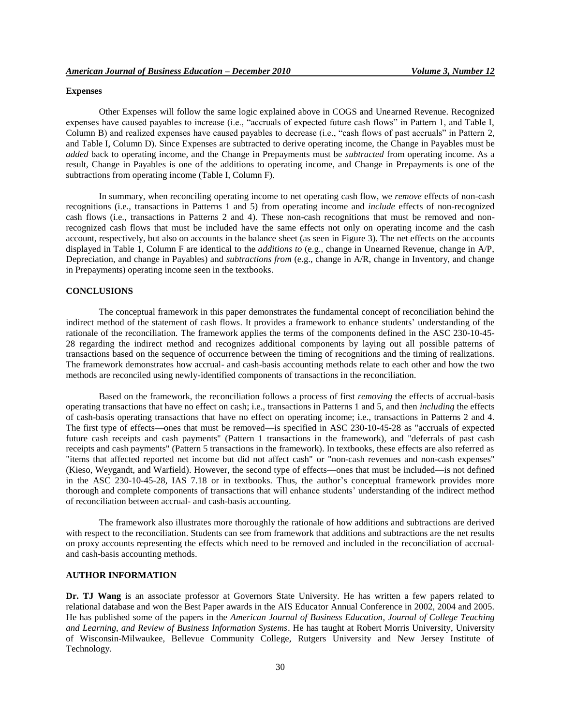#### **Expenses**

Other Expenses will follow the same logic explained above in COGS and Unearned Revenue. Recognized expenses have caused payables to increase (i.e., "accruals of expected future cash flows" in Pattern 1, and Table I, Column B) and realized expenses have caused payables to decrease (i.e., "cash flows of past accruals" in Pattern 2, and Table I, Column D). Since Expenses are subtracted to derive operating income, the Change in Payables must be *added* back to operating income, and the Change in Prepayments must be *subtracted* from operating income. As a result, Change in Payables is one of the additions to operating income, and Change in Prepayments is one of the subtractions from operating income (Table I, Column F).

In summary, when reconciling operating income to net operating cash flow, we *remove* effects of non-cash recognitions (i.e., transactions in Patterns 1 and 5) from operating income and *include* effects of non-recognized cash flows (i.e., transactions in Patterns 2 and 4). These non-cash recognitions that must be removed and nonrecognized cash flows that must be included have the same effects not only on operating income and the cash account, respectively, but also on accounts in the balance sheet (as seen in Figure 3). The net effects on the accounts displayed in Table 1, Column F are identical to the *additions to* (e.g., change in Unearned Revenue, change in A/P, Depreciation, and change in Payables) and *subtractions from* (e.g., change in A/R, change in Inventory, and change in Prepayments) operating income seen in the textbooks.

## **CONCLUSIONS**

The conceptual framework in this paper demonstrates the fundamental concept of reconciliation behind the indirect method of the statement of cash flows. It provides a framework to enhance students' understanding of the rationale of the reconciliation. The framework applies the terms of the components defined in the ASC 230-10-45- 28 regarding the indirect method and recognizes additional components by laying out all possible patterns of transactions based on the sequence of occurrence between the timing of recognitions and the timing of realizations. The framework demonstrates how accrual- and cash-basis accounting methods relate to each other and how the two methods are reconciled using newly-identified components of transactions in the reconciliation.

Based on the framework, the reconciliation follows a process of first *removing* the effects of accrual-basis operating transactions that have no effect on cash; i.e., transactions in Patterns 1 and 5, and then *including* the effects of cash-basis operating transactions that have no effect on operating income; i.e., transactions in Patterns 2 and 4. The first type of effects—ones that must be removed—is specified in ASC 230-10-45-28 as "accruals of expected future cash receipts and cash payments" (Pattern 1 transactions in the framework), and "deferrals of past cash receipts and cash payments" (Pattern 5 transactions in the framework). In textbooks, these effects are also referred as "items that affected reported net income but did not affect cash" or "non-cash revenues and non-cash expenses" (Kieso, Weygandt, and Warfield). However, the second type of effects—ones that must be included—is not defined in the ASC 230-10-45-28, IAS 7.18 or in textbooks. Thus, the author's conceptual framework provides more thorough and complete components of transactions that will enhance students' understanding of the indirect method of reconciliation between accrual- and cash-basis accounting.

The framework also illustrates more thoroughly the rationale of how additions and subtractions are derived with respect to the reconciliation. Students can see from framework that additions and subtractions are the net results on proxy accounts representing the effects which need to be removed and included in the reconciliation of accrualand cash-basis accounting methods.

## **AUTHOR INFORMATION**

**Dr. TJ Wang** is an associate professor at Governors State University. He has written a few papers related to relational database and won the Best Paper awards in the AIS Educator Annual Conference in 2002, 2004 and 2005. He has published some of the papers in the *American Journal of Business Education*, *Journal of College Teaching and Learning, and Review of Business Information Systems*. He has taught at Robert Morris University, University of Wisconsin-Milwaukee, Bellevue Community College, Rutgers University and New Jersey Institute of Technology.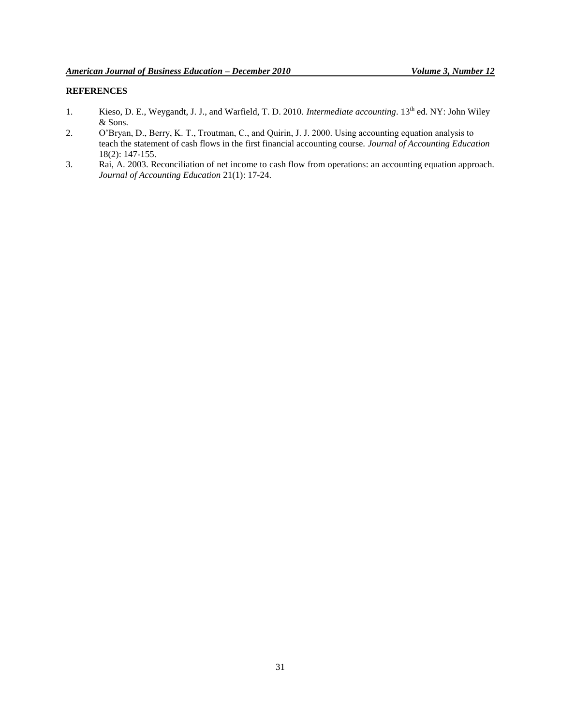# **REFERENCES**

- 1. Kieso, D. E., Weygandt, J. J., and Warfield, T. D. 2010. *Intermediate accounting*. 13<sup>th</sup> ed. NY: John Wiley & Sons.
- 2. O'Bryan, D., Berry, K. T., Troutman, C., and Quirin, J. J. 2000. Using accounting equation analysis to teach the statement of cash flows in the first financial accounting course. *Journal of Accounting Education* 18(2): 147-155.
- 3. Rai, A. 2003. Reconciliation of net income to cash flow from operations: an accounting equation approach. *Journal of Accounting Education* 21(1): 17-24.